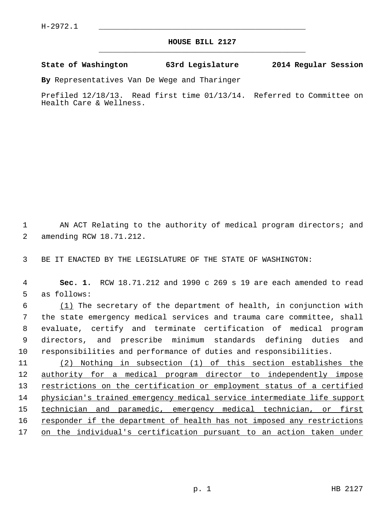## **HOUSE BILL 2127** \_\_\_\_\_\_\_\_\_\_\_\_\_\_\_\_\_\_\_\_\_\_\_\_\_\_\_\_\_\_\_\_\_\_\_\_\_\_\_\_\_\_\_\_\_

## **State of Washington 63rd Legislature 2014 Regular Session**

**By** Representatives Van De Wege and Tharinger

Prefiled 12/18/13. Read first time 01/13/14. Referred to Committee on Health Care & Wellness.

1 AN ACT Relating to the authority of medical program directors; and 2 amending RCW 18.71.212.

3 BE IT ENACTED BY THE LEGISLATURE OF THE STATE OF WASHINGTON:

 4 **Sec. 1.** RCW 18.71.212 and 1990 c 269 s 19 are each amended to read 5 as follows:

 $6$  (1) The secretary of the department of health, in conjunction with 7 the state emergency medical services and trauma care committee, shall 8 evaluate, certify and terminate certification of medical program 9 directors, and prescribe minimum standards defining duties and 10 responsibilities and performance of duties and responsibilities.

11 (2) Nothing in subsection (1) of this section establishes the 12 authority for a medical program director to independently impose 13 restrictions on the certification or employment status of a certified 14 physician's trained emergency medical service intermediate life support 15 technician and paramedic, emergency medical technician, or first 16 responder if the department of health has not imposed any restrictions 17 on the individual's certification pursuant to an action taken under